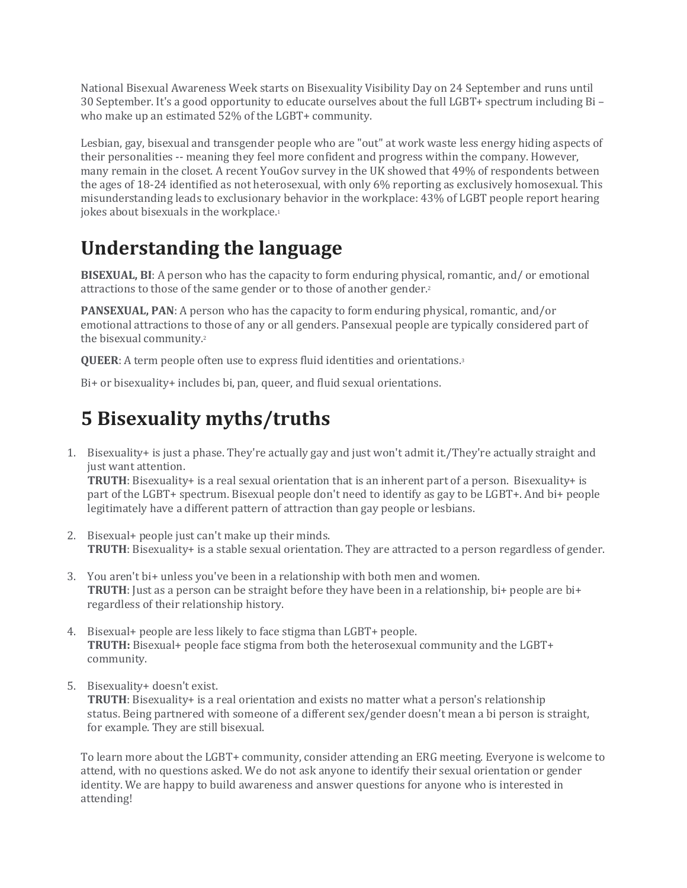National Bisexual Awareness Week starts on Bisexuality Visibility Day on 24 September and runs until 30 September. It's a good opportunity to educate ourselves about the full LGBT+ spectrum including Bi – who make up an estimated 52% of the LGBT+ community.

Lesbian, gay, bisexual and transgender people who are "out" at work waste less energy hiding aspects of their personalities -- meaning they feel more confident and progress within the company. However, many remain in the closet. A recent YouGov survey in the UK showed that 49% of respondents between the ages of 18-24 identified as not heterosexual, with only 6% reporting as exclusively homosexual. This misunderstanding leads to exclusionary behavior in the workplace: 43% of LGBT people report hearing jokes about bisexuals in the workplace.<sup>1</sup>

## **Understanding the language**

**BISEXUAL, BI**: A person who has the capacity to form enduring physical, romantic, and/ or emotional attractions to those of the same gender or to those of another gender.2

**PANSEXUAL, PAN**: A person who has the capacity to form enduring physical, romantic, and/or emotional attractions to those of any or all genders. Pansexual people are typically considered part of the bisexual community.2

**QUEER**: A term people often use to express fluid identities and orientations.3

Bi+ or bisexuality+ includes bi, pan, queer, and fluid sexual orientations.

## **5 Bisexuality myths/truths**

1. Bisexuality+ is just a phase. They're actually gay and just won't admit it./They're actually straight and just want attention.

**TRUTH**: Bisexuality+ is a real sexual orientation that is an inherent part of a person. Bisexuality+ is part of the LGBT+ spectrum. Bisexual people don't need to identify as gay to be LGBT+. And bi+ people legitimately have a different pattern of attraction than gay people or lesbians.

- 2. Bisexual+ people just can't make up their minds. **TRUTH**: Bisexuality+ is a stable sexual orientation. They are attracted to a person regardless of gender.
- 3. You aren't bi+ unless you've been in a relationship with both men and women. **TRUTH**: Just as a person can be straight before they have been in a relationship, bi+ people are bi+ regardless of their relationship history.
- 4. Bisexual+ people are less likely to face stigma than LGBT+ people. **TRUTH:** Bisexual+ people face stigma from both the heterosexual community and the LGBT+ community.
- 5. Bisexuality+ doesn't exist.

**TRUTH**: Bisexuality+ is a real orientation and exists no matter what a person's relationship status. Being partnered with someone of a different sex/gender doesn't mean a bi person is straight, for example. They are still bisexual.

To learn more about the LGBT+ community, consider attending an ERG meeting. Everyone is welcome to attend, with no questions asked. We do not ask anyone to identify their sexual orientation or gender identity. We are happy to build awareness and answer questions for anyone who is interested in attending!